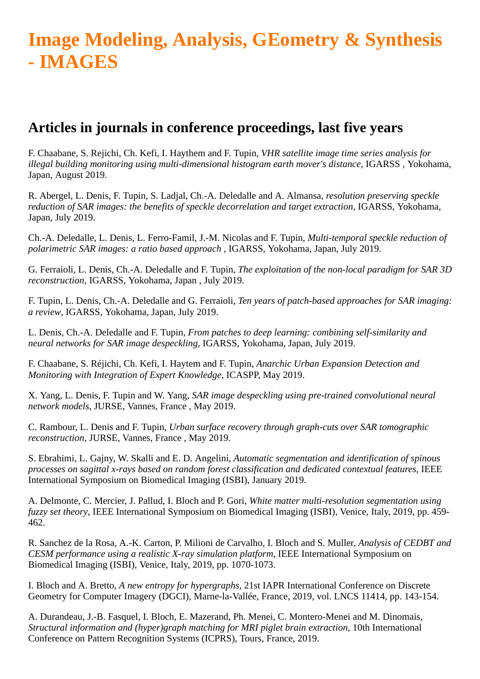## **Image Modeling, Analysis, GEometry & Synthesis - IMAGES**

## **Articles in journals in conference proceedings, last five years**

F. Chaabane, S. Rejichi, Ch. Kefi, I. Haythem and F. Tupin, *VHR satellite image time series analysis for illegal building monitoring using multi-dimensional histogram earth mover's distance*, IGARSS , Yokohama, Japan, August 2019.

R. Abergel, L. Denis, F. Tupin, S. Ladjal, Ch.-A. Deledalle and A. Almansa, *resolution preserving speckle reduction of SAR images: the benefits of speckle decorrelation and target extraction*, IGARSS, Yokohama, Japan, July 2019.

Ch.-A. Deledalle, L. Denis, L. Ferro-Famil, J.-M. Nicolas and F. Tupin, *Multi-temporal speckle reduction of polarimetric SAR images: a ratio based approach* , IGARSS, Yokohama, Japan, July 2019.

G. Ferraioli, L. Denis, Ch.-A. Deledalle and F. Tupin, *The exploitation of the non-local paradigm for SAR 3D reconstruction*, IGARSS, Yokohama, Japan , July 2019.

F. Tupin, L. Denis, Ch.-A. Deledalle and G. Ferraioli, *Ten years of patch-based approaches for SAR imaging: a review*, IGARSS, Yokohama, Japan, July 2019.

L. Denis, Ch.-A. Deledalle and F. Tupin, *From patches to deep learning: combining self-similarity and neural networks for SAR image despeckling*, IGARSS, Yokohama, Japan, July 2019.

F. Chaabane, S. Réjichi, Ch. Kefi, I. Haytem and F. Tupin, *Anarchic Urban Expansion Detection and Monitoring with Integration of Expert Knowledge*, ICASPP, May 2019.

X. Yang, L. Denis, F. Tupin and W. Yang, *SAR image despeckling using pre-trained convolutional neural network models*, JURSE, Vannes, France , May 2019.

C. Rambour, L. Denis and F. Tupin, *Urban surface recovery through graph-cuts over SAR tomographic reconstruction*, JURSE, Vannes, France , May 2019.

S. Ebrahimi, L. Gajny, W. Skalli and E. D. Angelini, *Automatic segmentation and identification of spinous processes on sagittal x-rays based on random forest classification and dedicated contextual features*, IEEE International Symposium on Biomedical Imaging (ISBI), January 2019.

A. Delmonte, C. Mercier, J. Pallud, I. Bloch and P. Gori, *White matter multi-resolution segmentation using fuzzy set theory*, IEEE International Symposium on Biomedical Imaging (ISBI), Venice, Italy, 2019, pp. 459- 462.

R. Sanchez de la Rosa, A.-K. Carton, P. Milioni de Carvalho, I. Bloch and S. Muller, *Analysis of CEDBT and CESM performance using a realistic X-ray simulation platform*, IEEE International Symposium on Biomedical Imaging (ISBI), Venice, Italy, 2019, pp. 1070-1073.

I. Bloch and A. Bretto, *A new entropy for hypergraphs*, 21st IAPR International Conference on Discrete Geometry for Computer Imagery (DGCI), Marne-la-Vallée, France, 2019, vol. LNCS 11414, pp. 143-154.

A. Durandeau, J.-B. Fasquel, I. Bloch, E. Mazerand, Ph. Menei, C. Montero-Menei and M. Dinomais, *Structural information and (hyper)graph matching for MRI piglet brain extraction*, 10th International Conference on Pattern Recognition Systems (ICPRS), Tours, France, 2019.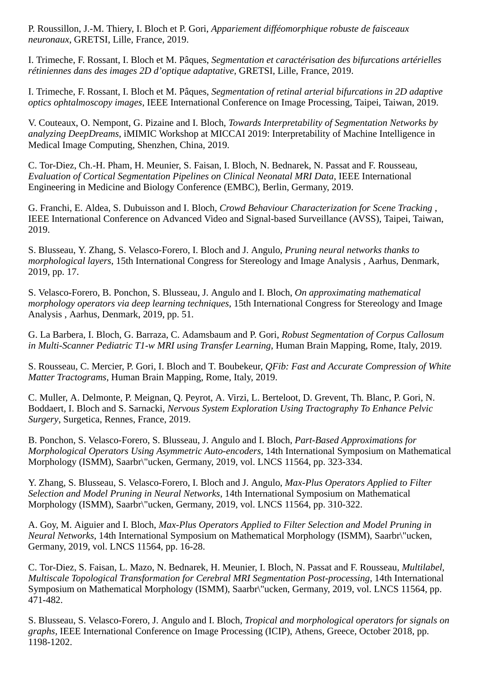P. Roussillon, J.-M. Thiery, I. Bloch et P. Gori, *Appariement difféomorphique robuste de faisceaux neuronaux*, GRETSI, Lille, France, 2019.

I. Trimeche, F. Rossant, I. Bloch et M. Pâques, *Segmentation et caractérisation des bifurcations artérielles rétiniennes dans des images 2D d'optique adaptative*, GRETSI, Lille, France, 2019.

I. Trimeche, F. Rossant, I. Bloch et M. Pâques, *Segmentation of retinal arterial bifurcations in 2D adaptive optics ophtalmoscopy images*, IEEE International Conference on Image Processing, Taipei, Taiwan, 2019.

V. Couteaux, O. Nempont, G. Pizaine and I. Bloch, *Towards Interpretability of Segmentation Networks by analyzing DeepDreams*, iMIMIC Workshop at MICCAI 2019: Interpretability of Machine Intelligence in Medical Image Computing, Shenzhen, China, 2019.

C. Tor-Diez, Ch.-H. Pham, H. Meunier, S. Faisan, I. Bloch, N. Bednarek, N. Passat and F. Rousseau, *Evaluation of Cortical Segmentation Pipelines on Clinical Neonatal MRI Data*, IEEE International Engineering in Medicine and Biology Conference (EMBC), Berlin, Germany, 2019.

G. Franchi, E. Aldea, S. Dubuisson and I. Bloch, *Crowd Behaviour Characterization for Scene Tracking* , IEEE International Conference on Advanced Video and Signal-based Surveillance (AVSS), Taipei, Taiwan, 2019.

S. Blusseau, Y. Zhang, S. Velasco-Forero, I. Bloch and J. Angulo, *Pruning neural networks thanks to morphological layers*, 15th International Congress for Stereology and Image Analysis , Aarhus, Denmark, 2019, pp. 17.

S. Velasco-Forero, B. Ponchon, S. Blusseau, J. Angulo and I. Bloch, *On approximating mathematical morphology operators via deep learning techniques*, 15th International Congress for Stereology and Image Analysis , Aarhus, Denmark, 2019, pp. 51.

G. La Barbera, I. Bloch, G. Barraza, C. Adamsbaum and P. Gori, *Robust Segmentation of Corpus Callosum in Multi-Scanner Pediatric T1-w MRI using Transfer Learning*, Human Brain Mapping, Rome, Italy, 2019.

S. Rousseau, C. Mercier, P. Gori, I. Bloch and T. Boubekeur, *QFib: Fast and Accurate Compression of White Matter Tractograms*, Human Brain Mapping, Rome, Italy, 2019.

C. Muller, A. Delmonte, P. Meignan, Q. Peyrot, A. Virzi, L. Berteloot, D. Grevent, Th. Blanc, P. Gori, N. Boddaert, I. Bloch and S. Sarnacki, *Nervous System Exploration Using Tractography To Enhance Pelvic Surgery*, Surgetica, Rennes, France, 2019.

B. Ponchon, S. Velasco-Forero, S. Blusseau, J. Angulo and I. Bloch, *Part-Based Approximations for Morphological Operators Using Asymmetric Auto-encoders*, 14th International Symposium on Mathematical Morphology (ISMM), Saarbr\"ucken, Germany, 2019, vol. LNCS 11564, pp. 323-334.

Y. Zhang, S. Blusseau, S. Velasco-Forero, I. Bloch and J. Angulo, *Max-Plus Operators Applied to Filter Selection and Model Pruning in Neural Networks*, 14th International Symposium on Mathematical Morphology (ISMM), Saarbr\"ucken, Germany, 2019, vol. LNCS 11564, pp. 310-322.

A. Goy, M. Aiguier and I. Bloch, *Max-Plus Operators Applied to Filter Selection and Model Pruning in Neural Networks*, 14th International Symposium on Mathematical Morphology (ISMM), Saarbr\"ucken, Germany, 2019, vol. LNCS 11564, pp. 16-28.

C. Tor-Diez, S. Faisan, L. Mazo, N. Bednarek, H. Meunier, I. Bloch, N. Passat and F. Rousseau, *Multilabel, Multiscale Topological Transformation for Cerebral MRI Segmentation Post-processing*, 14th International Symposium on Mathematical Morphology (ISMM), Saarbr\"ucken, Germany, 2019, vol. LNCS 11564, pp. 471-482.

S. Blusseau, S. Velasco-Forero, J. Angulo and I. Bloch, *Tropical and morphological operators for signals on graphs*, IEEE International Conference on Image Processing (ICIP), Athens, Greece, October 2018, pp. 1198-1202.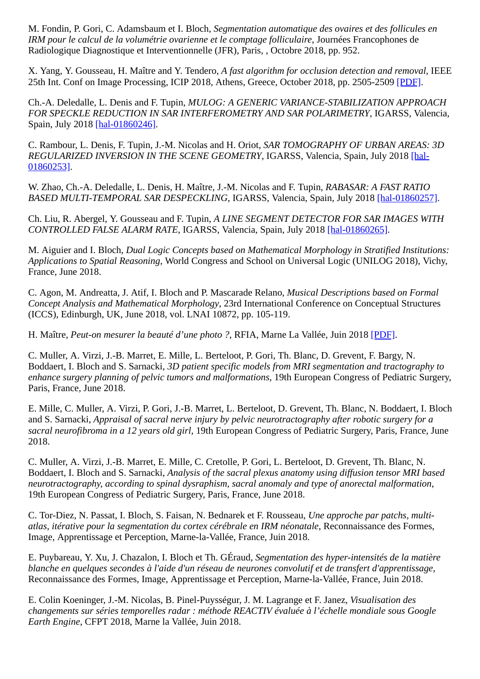M. Fondin, P. Gori, C. Adamsbaum et I. Bloch, *Segmentation automatique des ovaires et des follicules en IRM pour le calcul de la volumétrie ovarienne et le comptage folliculaire*, Journées Francophones de Radiologique Diagnostique et Interventionnelle (JFR), Paris, , Octobre 2018, pp. 952.

X. Yang, Y. Gousseau, H. Maître and Y. Tendero, *A fast algorithm for occlusion detection and removal*, IEEE 25th Int. Conf on Image Processing, ICIP 2018, Athens, Greece, October 2018, pp. 2505-2509 [\[PDF\]](http://biblio.telecom-paristech.fr/cgi-bin/download.cgi?id=18421).

Ch.-A. Deledalle, L. Denis and F. Tupin, *MULOG: A GENERIC VARIANCE-STABILIZATION APPROACH FOR SPECKLE REDUCTION IN SAR INTERFEROMETRY AND SAR POLARIMETRY*, IGARSS, Valencia, Spain, July 2018 [\[hal-01860246\]](http://hal-institut-telecom.archives-ouvertes.fr/hal-01860246).

C. Rambour, L. Denis, F. Tupin, J.-M. Nicolas and H. Oriot, *SAR TOMOGRAPHY OF URBAN AREAS: 3D [REGULARIZED INVERSION IN THE SCENE GEOMETRY](http://hal-institut-telecom.archives-ouvertes.fr/hal-01860253)*, IGARSS, Valencia, Spain, July 2018 [hal-01860253].

W. Zhao, Ch.-A. Deledalle, L. Denis, H. Maître, J.-M. Nicolas and F. Tupin, *RABASAR: A FAST RATIO BASED MULTI-TEMPORAL SAR DESPECKLING*, IGARSS, Valencia, Spain, July 2018 [\[hal-01860257\].](http://hal-institut-telecom.archives-ouvertes.fr/hal-01860257)

Ch. Liu, R. Abergel, Y. Gousseau and F. Tupin, *A LINE SEGMENT DETECTOR FOR SAR IMAGES WITH CONTROLLED FALSE ALARM RATE*, IGARSS, Valencia, Spain, July 2018 [\[hal-01860265\].](http://hal-institut-telecom.archives-ouvertes.fr/hal-01860265)

M. Aiguier and I. Bloch, *Dual Logic Concepts based on Mathematical Morphology in Stratified Institutions: Applications to Spatial Reasoning*, World Congress and School on Universal Logic (UNILOG 2018), Vichy, France, June 2018.

C. Agon, M. Andreatta, J. Atif, I. Bloch and P. Mascarade Relano, *Musical Descriptions based on Formal Concept Analysis and Mathematical Morphology*, 23rd International Conference on Conceptual Structures (ICCS), Edinburgh, UK, June 2018, vol. LNAI 10872, pp. 105-119.

H. Maître, *Peut-on mesurer la beauté d'une photo ?*, RFIA, Marne La Vallée, Juin 2018 [\[PDF\]](http://biblio.telecom-paristech.fr/cgi-bin/download.cgi?id=17891).

C. Muller, A. Virzi, J.-B. Marret, E. Mille, L. Berteloot, P. Gori, Th. Blanc, D. Grevent, F. Bargy, N. Boddaert, I. Bloch and S. Sarnacki, *3D patient specific models from MRI segmentation and tractography to enhance surgery planning of pelvic tumors and malformations*, 19th European Congress of Pediatric Surgery, Paris, France, June 2018.

E. Mille, C. Muller, A. Virzi, P. Gori, J.-B. Marret, L. Berteloot, D. Grevent, Th. Blanc, N. Boddaert, I. Bloch and S. Sarnacki, *Appraisal of sacral nerve injury by pelvic neurotractography after robotic surgery for a sacral neurofibroma in a 12 years old girl*, 19th European Congress of Pediatric Surgery, Paris, France, June 2018.

C. Muller, A. Virzi, J.-B. Marret, E. Mille, C. Cretolle, P. Gori, L. Berteloot, D. Grevent, Th. Blanc, N. Boddaert, I. Bloch and S. Sarnacki, *Analysis of the sacral plexus anatomy using diffusion tensor MRI based neurotractography, according to spinal dysraphism, sacral anomaly and type of anorectal malformation*, 19th European Congress of Pediatric Surgery, Paris, France, June 2018.

C. Tor-Diez, N. Passat, I. Bloch, S. Faisan, N. Bednarek et F. Rousseau, *Une approche par patchs, multiatlas, itérative pour la segmentation du cortex cérébrale en IRM néonatale*, Reconnaissance des Formes, Image, Apprentissage et Perception, Marne-la-Vallée, France, Juin 2018.

E. Puybareau, Y. Xu, J. Chazalon, I. Bloch et Th. GÉraud, *Segmentation des hyper-intensités de la matière blanche en quelques secondes à l'aide d'un réseau de neurones convolutif et de transfert d'apprentissage*, Reconnaissance des Formes, Image, Apprentissage et Perception, Marne-la-Vallée, France, Juin 2018.

E. Colin Koeninger, J.-M. Nicolas, B. Pinel-Puysségur, J. M. Lagrange et F. Janez, *Visualisation des changements sur séries temporelles radar : méthode REACTIV évaluée à l'échelle mondiale sous Google Earth Engine*, CFPT 2018, Marne la Vallée, Juin 2018.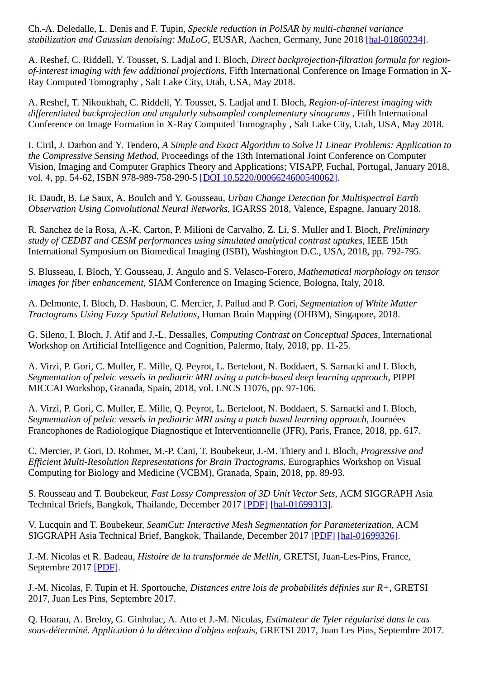Ch.-A. Deledalle, L. Denis and F. Tupin, *Speckle reduction in PolSAR by multi-channel variance stabilization and Gaussian denoising: MuLoG*, EUSAR, Aachen, Germany, June 2018 [\[hal-01860234\].](http://hal-institut-telecom.archives-ouvertes.fr/hal-01860234)

A. Reshef, C. Riddell, Y. Tousset, S. Ladjal and I. Bloch, *Direct backprojection-filtration formula for regionof-interest imaging with few additional projections*, Fifth International Conference on Image Formation in X-Ray Computed Tomography , Salt Lake City, Utah, USA, May 2018.

A. Reshef, T. Nikoukhah, C. Riddell, Y. Tousset, S. Ladjal and I. Bloch, *Region-of-interest imaging with differentiated backprojection and angularly subsampled complementary sinograms* , Fifth International Conference on Image Formation in X-Ray Computed Tomography , Salt Lake City, Utah, USA, May 2018.

I. Ciril, J. Darbon and Y. Tendero, *A Simple and Exact Algorithm to Solve l1 Linear Problems: Application to the Compressive Sensing Method*, Proceedings of the 13th International Joint Conference on Computer Vision, Imaging and Computer Graphics Theory and Applications; VISAPP, Fuchal, Portugal, January 2018, vol. 4, pp. 54-62, ISBN 978-989-758-290-5 [\[DOI 10.5220/0006624600540062\]](http://dx.doi.org/10.5220/0006624600540062).

R. Daudt, B. Le Saux, A. Boulch and Y. Gousseau, *Urban Change Detection for Multispectral Earth Observation Using Convolutional Neural Networks*, IGARSS 2018, Valence, Espagne, January 2018.

R. Sanchez de la Rosa, A.-K. Carton, P. Milioni de Carvalho, Z. Li, S. Muller and I. Bloch, *Preliminary study of CEDBT and CESM performances using simulated analytical contrast uptakes*, IEEE 15th International Symposium on Biomedical Imaging (ISBI), Washington D.C., USA, 2018, pp. 792-795.

S. Blusseau, I. Bloch, Y. Gousseau, J. Angulo and S. Velasco-Forero, *Mathematical morphology on tensor images for fiber enhancement*, SIAM Conference on Imaging Science, Bologna, Italy, 2018.

A. Delmonte, I. Bloch, D. Hasboun, C. Mercier, J. Pallud and P. Gori, *Segmentation of White Matter Tractograms Using Fuzzy Spatial Relations*, Human Brain Mapping (OHBM), Singapore, 2018.

G. Sileno, I. Bloch, J. Atif and J.-L. Dessalles, *Computing Contrast on Conceptual Spaces*, International Workshop on Artificial Intelligence and Cognition, Palermo, Italy, 2018, pp. 11-25.

A. Virzi, P. Gori, C. Muller, E. Mille, Q. Peyrot, L. Berteloot, N. Boddaert, S. Sarnacki and I. Bloch, *Segmentation of pelvic vessels in pediatric MRI using a patch-based deep learning approach*, PIPPI MICCAI Workshop, Granada, Spain, 2018, vol. LNCS 11076, pp. 97-106.

A. Virzi, P. Gori, C. Muller, E. Mille, Q. Peyrot, L. Berteloot, N. Boddaert, S. Sarnacki and I. Bloch, *Segmentation of pelvic vessels in pediatric MRI using a patch based learning approach*, Journées Francophones de Radiologique Diagnostique et Interventionnelle (JFR), Paris, France, 2018, pp. 617.

C. Mercier, P. Gori, D. Rohmer, M.-P. Cani, T. Boubekeur, J.-M. Thiery and I. Bloch, *Progressive and Efficient Multi-Resolution Representations for Brain Tractograms*, Eurographics Workshop on Visual Computing for Biology and Medicine (VCBM), Granada, Spain, 2018, pp. 89-93.

S. Rousseau and T. Boubekeur, *Fast Lossy Compression of 3D Unit Vector Sets*, ACM SIGGRAPH Asia Technical Briefs, Bangkok, Thailande, December 2017 [\[PDF\]](https://perso.telecom-paristech.fr/boubek/papers/UVC/) [\[hal-01699313\]](http://hal-institut-telecom.archives-ouvertes.fr/hal-01699313).

V. Lucquin and T. Boubekeur, *SeamCut: Interactive Mesh Segmentation for Parameterization*, ACM SIGGRAPH Asia Technical Brief, Bangkok, Thailande, December 2017 [\[PDF\]](https://perso.telecom-paristech.fr/boubek/papers/SeamCut/) [\[hal-01699326\]](http://hal-institut-telecom.archives-ouvertes.fr/hal-01699326).

J.-M. Nicolas et R. Badeau, *Histoire de la transformée de Mellin*, GRETSI, Juan-Les-Pins, France, Septembre 2017 [\[PDF\]](http://biblio.telecom-paristech.fr/cgi-bin/download.cgi?id=16876).

J.-M. Nicolas, F. Tupin et H. Sportouche, *Distances entre lois de probabilités définies sur R+*, GRETSI 2017, Juan Les Pins, Septembre 2017.

Q. Hoarau, A. Breloy, G. Ginholac, A. Atto et J.-M. Nicolas, *Estimateur de Tyler régularisé dans le cas sous-déterminé. Application à la détection d'objets enfouis*, GRETSI 2017, Juan Les Pins, Septembre 2017.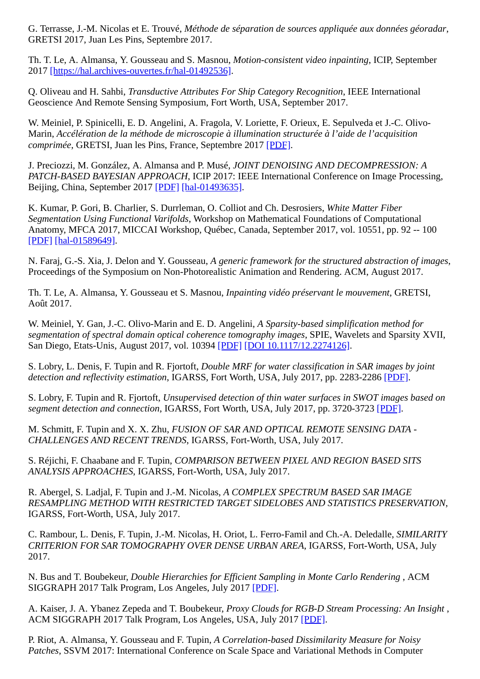G. Terrasse, J.-M. Nicolas et E. Trouvé, *Méthode de séparation de sources appliquée aux données géoradar*, GRETSI 2017, Juan Les Pins, Septembre 2017.

Th. T. Le, A. Almansa, Y. Gousseau and S. Masnou, *Motion-consistent video inpainting*, ICIP, September 2017 [\[https://hal.archives-ouvertes.fr/hal-01492536\]](http://hal-institut-telecom.archives-ouvertes.fr/https://hal.archives-ouvertes.fr/hal-01492536).

Q. Oliveau and H. Sahbi, *Transductive Attributes For Ship Category Recognition*, IEEE International Geoscience And Remote Sensing Symposium, Fort Worth, USA, September 2017.

W. Meiniel, P. Spinicelli, E. D. Angelini, A. Fragola, V. Loriette, F. Orieux, E. Sepulveda et J.-C. Olivo-Marin, *Accélération de la méthode de microscopie à illumination structurée à l'aide de l'acquisition comprimée*, GRETSI, Juan les Pins, France, Septembre 2017 [\[PDF\].](http://biblio.telecom-paristech.fr/cgi-bin/download.cgi?id=17350)

J. Preciozzi, M. González, A. Almansa and P. Musé, *JOINT DENOISING AND DECOMPRESSION: A PATCH-BASED BAYESIAN APPROACH*, ICIP 2017: IEEE International Conference on Image Processing, Beijing, China, September 2017 [\[PDF\]](http://biblio.telecom-paristech.fr/cgi-bin/download.cgi?id=17778) [\[hal-01493635\]](http://hal-institut-telecom.archives-ouvertes.fr/hal-01493635).

K. Kumar, P. Gori, B. Charlier, S. Durrleman, O. Colliot and Ch. Desrosiers, *White Matter Fiber Segmentation Using Functional Varifolds*, Workshop on Mathematical Foundations of Computational Anatomy, MFCA 2017, MICCAI Workshop, Québec, Canada, September 2017, vol. 10551, pp. 92 -- 100 [\[PDF\]](http://biblio.telecom-paristech.fr/cgi-bin/download.cgi?id=17791) [\[hal-01589649\].](http://hal-institut-telecom.archives-ouvertes.fr/hal-01589649)

N. Faraj, G.-S. Xia, J. Delon and Y. Gousseau, *A generic framework for the structured abstraction of images*, Proceedings of the Symposium on Non-Photorealistic Animation and Rendering. ACM, August 2017.

Th. T. Le, A. Almansa, Y. Gousseau et S. Masnou, *Inpainting vidéo préservant le mouvement*, GRETSI, Août 2017.

W. Meiniel, Y. Gan, J.-C. Olivo-Marin and E. D. Angelini, *A Sparsity-based simplification method for segmentation of spectral domain optical coherence tomography images*, SPIE, Wavelets and Sparsity XVII, San Diego, Etats-Unis, August 2017, vol. 10394 [\[PDF\]](http://biblio.telecom-paristech.fr/cgi-bin/download.cgi?id=17351) [\[DOI 10.1117/12.2274126\].](http://dx.doi.org/10.1117/12.2274126)

S. Lobry, L. Denis, F. Tupin and R. Fjortoft, *Double MRF for water classification in SAR images by joint detection and reflectivity estimation*, IGARSS, Fort Worth, USA, July 2017, pp. 2283-2286 [\[PDF\]](http://biblio.telecom-paristech.fr/cgi-bin/download.cgi?id=17008).

S. Lobry, F. Tupin and R. Fjortoft, *Unsupervised detection of thin water surfaces in SWOT images based on segment detection and connection*, IGARSS, Fort Worth, USA, July 2017, pp. 3720-3723 [\[PDF\]](http://biblio.telecom-paristech.fr/cgi-bin/download.cgi?id=17010).

M. Schmitt, F. Tupin and X. X. Zhu, *FUSION OF SAR AND OPTICAL REMOTE SENSING DATA - CHALLENGES AND RECENT TRENDS*, IGARSS, Fort-Worth, USA, July 2017.

S. Réjichi, F. Chaabane and F. Tupin, *COMPARISON BETWEEN PIXEL AND REGION BASED SITS ANALYSIS APPROACHES*, IGARSS, Fort-Worth, USA, July 2017.

R. Abergel, S. Ladjal, F. Tupin and J.-M. Nicolas, *A COMPLEX SPECTRUM BASED SAR IMAGE RESAMPLING METHOD WITH RESTRICTED TARGET SIDELOBES AND STATISTICS PRESERVATION*, IGARSS, Fort-Worth, USA, July 2017.

C. Rambour, L. Denis, F. Tupin, J.-M. Nicolas, H. Oriot, L. Ferro-Famil and Ch.-A. Deledalle, *SIMILARITY CRITERION FOR SAR TOMOGRAPHY OVER DENSE URBAN AREA*, IGARSS, Fort-Worth, USA, July 2017.

N. Bus and T. Boubekeur, *Double Hierarchies for Efficient Sampling in Monte Carlo Rendering* , ACM SIGGRAPH 2017 Talk Program, Los Angeles, July 2017 [\[PDF\].](http://perso.telecom-paristech.fr/~boubek/papers/DHS)

A. Kaiser, J. A. Ybanez Zepeda and T. Boubekeur, *Proxy Clouds for RGB-D Stream Processing: An Insight* , ACM SIGGRAPH 2017 Talk Program, Los Angeles, USA, July 2017 [\[PDF\]](http://perso.telecom-paristech.fr/~boubek/papers/ProxyClouds).

P. Riot, A. Almansa, Y. Gousseau and F. Tupin, *A Correlation-based Dissimilarity Measure for Noisy Patches*, SSVM 2017: International Conference on Scale Space and Variational Methods in Computer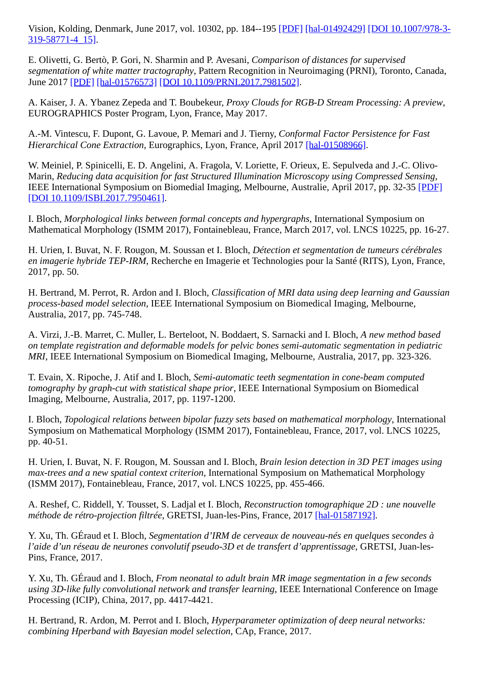[Vision, Kolding, Denmark, June 2017, vol. 10302, pp. 184--195 \[](http://dx.doi.org/10.1007/978-3-319-58771-4_15)[PDF\]](http://biblio.telecom-paristech.fr/cgi-bin/download.cgi?id=16881) [\[hal-01492429\]](http://hal-institut-telecom.archives-ouvertes.fr/hal-01492429) [DOI 10.1007/978-3-319-58771-4\_15].

E. Olivetti, G. Bertò, P. Gori, N. Sharmin and P. Avesani, *Comparison of distances for supervised segmentation of white matter tractography*, Pattern Recognition in Neuroimaging (PRNI), Toronto, Canada, June 2017 [\[PDF\]](https://hal.archives-ouvertes.fr/hal-01576573/file/1708.01440.pdf) [\[hal-01576573\]](http://hal-institut-telecom.archives-ouvertes.fr/hal-01576573) [\[DOI 10.1109/PRNI.2017.7981502\]](http://dx.doi.org/10.1109/PRNI.2017.7981502).

A. Kaiser, J. A. Ybanez Zepeda and T. Boubekeur, *Proxy Clouds for RGB-D Stream Processing: A preview*, EUROGRAPHICS Poster Program, Lyon, France, May 2017.

A.-M. Vintescu, F. Dupont, G. Lavoue, P. Memari and J. Tierny, *Conformal Factor Persistence for Fast Hierarchical Cone Extraction*, Eurographics, Lyon, France, April 2017 [\[hal-01508966\].](http://hal-institut-telecom.archives-ouvertes.fr/hal-01508966)

W. Meiniel, P. Spinicelli, E. D. Angelini, A. Fragola, V. Loriette, F. Orieux, E. Sepulveda and J.-C. Olivo-Marin, *Reducing data acquisition for fast Structured Illumination Microscopy using Compressed Sensing*, IEEE International Symposium on Biomedial Imaging, Melbourne, Australie, April 2017, pp. 32-35 [\[PDF\]](http://biblio.telecom-paristech.fr/cgi-bin/download.cgi?id=17349) [\[DOI 10.1109/ISBI.2017.7950461\].](http://dx.doi.org/10.1109/ISBI.2017.7950461)

I. Bloch, *Morphological links between formal concepts and hypergraphs*, International Symposium on Mathematical Morphology (ISMM 2017), Fontainebleau, France, March 2017, vol. LNCS 10225, pp. 16-27.

H. Urien, I. Buvat, N. F. Rougon, M. Soussan et I. Bloch, *Détection et segmentation de tumeurs cérébrales en imagerie hybride TEP-IRM*, Recherche en Imagerie et Technologies pour la Santé (RITS), Lyon, France, 2017, pp. 50.

H. Bertrand, M. Perrot, R. Ardon and I. Bloch, *Classification of MRI data using deep learning and Gaussian process-based model selection*, IEEE International Symposium on Biomedical Imaging, Melbourne, Australia, 2017, pp. 745-748.

A. Virzi, J.-B. Marret, C. Muller, L. Berteloot, N. Boddaert, S. Sarnacki and I. Bloch, *A new method based on template registration and deformable models for pelvic bones semi-automatic segmentation in pediatric MRI*, IEEE International Symposium on Biomedical Imaging, Melbourne, Australia, 2017, pp. 323-326.

T. Evain, X. Ripoche, J. Atif and I. Bloch, *Semi-automatic teeth segmentation in cone-beam computed tomography by graph-cut with statistical shape prior*, IEEE International Symposium on Biomedical Imaging, Melbourne, Australia, 2017, pp. 1197-1200.

I. Bloch, *Topological relations between bipolar fuzzy sets based on mathematical morphology*, International Symposium on Mathematical Morphology (ISMM 2017), Fontainebleau, France, 2017, vol. LNCS 10225, pp. 40-51.

H. Urien, I. Buvat, N. F. Rougon, M. Soussan and I. Bloch, *Brain lesion detection in 3D PET images using max-trees and a new spatial context criterion*, International Symposium on Mathematical Morphology (ISMM 2017), Fontainebleau, France, 2017, vol. LNCS 10225, pp. 455-466.

A. Reshef, C. Riddell, Y. Tousset, S. Ladjal et I. Bloch, *Reconstruction tomographique 2D : une nouvelle méthode de rétro-projection filtrée*, GRETSI, Juan-les-Pins, France, 2017 [\[hal-01587192\].](http://hal-institut-telecom.archives-ouvertes.fr/hal-01587192)

Y. Xu, Th. GÉraud et I. Bloch, *Segmentation d'IRM de cerveaux de nouveau-nés en quelques secondes à l'aide d'un réseau de neurones convolutif pseudo-3D et de transfert d'apprentissage*, GRETSI, Juan-les-Pins, France, 2017.

Y. Xu, Th. GÉraud and I. Bloch, *From neonatal to adult brain MR image segmentation in a few seconds using 3D-like fully convolutional network and transfer learning*, IEEE International Conference on Image Processing (ICIP), China, 2017, pp. 4417-4421.

H. Bertrand, R. Ardon, M. Perrot and I. Bloch, *Hyperparameter optimization of deep neural networks: combining Hperband with Bayesian model selection*, CAp, France, 2017.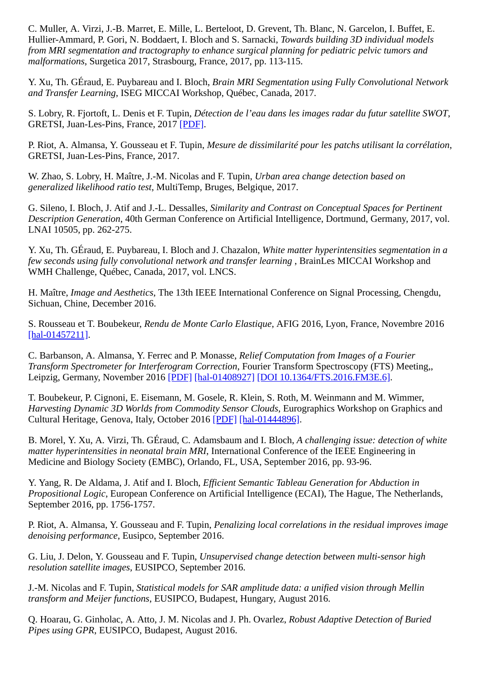C. Muller, A. Virzi, J.-B. Marret, E. Mille, L. Berteloot, D. Grevent, Th. Blanc, N. Garcelon, I. Buffet, E. Hullier-Ammard, P. Gori, N. Boddaert, I. Bloch and S. Sarnacki, *Towards building 3D individual models from MRI segmentation and tractography to enhance surgical planning for pediatric pelvic tumors and malformations*, Surgetica 2017, Strasbourg, France, 2017, pp. 113-115.

Y. Xu, Th. GÉraud, E. Puybareau and I. Bloch, *Brain MRI Segmentation using Fully Convolutional Network and Transfer Learning*, ISEG MICCAI Workshop, Québec, Canada, 2017.

S. Lobry, R. Fjortoft, L. Denis et F. Tupin, *Détection de l'eau dans les images radar du futur satellite SWOT*, GRETSI, Juan-Les-Pins, France, 2017 [\[PDF\].](http://biblio.telecom-paristech.fr/cgi-bin/download.cgi?id=17077)

P. Riot, A. Almansa, Y. Gousseau et F. Tupin, *Mesure de dissimilarité pour les patchs utilisant la corrélation*, GRETSI, Juan-Les-Pins, France, 2017.

W. Zhao, S. Lobry, H. Maître, J.-M. Nicolas and F. Tupin, *Urban area change detection based on generalized likelihood ratio test*, MultiTemp, Bruges, Belgique, 2017.

G. Sileno, I. Bloch, J. Atif and J.-L. Dessalles, *Similarity and Contrast on Conceptual Spaces for Pertinent Description Generation*, 40th German Conference on Artificial Intelligence, Dortmund, Germany, 2017, vol. LNAI 10505, pp. 262-275.

Y. Xu, Th. GÉraud, E. Puybareau, I. Bloch and J. Chazalon, *White matter hyperintensities segmentation in a few seconds using fully convolutional network and transfer learning* , BrainLes MICCAI Workshop and WMH Challenge, Québec, Canada, 2017, vol. LNCS.

H. Maître, *Image and Aesthetics*, The 13th IEEE International Conference on Signal Processing, Chengdu, Sichuan, Chine, December 2016.

S. Rousseau et T. Boubekeur, *Rendu de Monte Carlo Elastique*, AFIG 2016, Lyon, France, Novembre 2016 [\[hal-01457211\]](http://hal-institut-telecom.archives-ouvertes.fr/hal-01457211).

C. Barbanson, A. Almansa, Y. Ferrec and P. Monasse, *Relief Computation from Images of a Fourier Transform Spectrometer for Interferogram Correction*, Fourier Transform Spectroscopy (FTS) Meeting,, Leipzig, Germany, November 2016 [\[PDF\]](https://hal.archives-ouvertes.fr/hal-01408927/) [\[hal-01408927\]](http://hal-institut-telecom.archives-ouvertes.fr/hal-01408927) [\[DOI 10.1364/FTS.2016.FM3E.6\]](http://dx.doi.org/10.1364/FTS.2016.FM3E.6).

T. Boubekeur, P. Cignoni, E. Eisemann, M. Gosele, R. Klein, S. Roth, M. Weinmann and M. Wimmer, *Harvesting Dynamic 3D Worlds from Commodity Sensor Clouds*, Eurographics Workshop on Graphics and Cultural Heritage, Genova, Italy, October 2016 [\[PDF\]](http://cg.cs.uni-bonn.de/en/publications/paper-details/harvest4d_2016/) [\[hal-01444896\].](http://hal-institut-telecom.archives-ouvertes.fr/hal-01444896)

B. Morel, Y. Xu, A. Virzi, Th. GÉraud, C. Adamsbaum and I. Bloch, *A challenging issue: detection of white matter hyperintensities in neonatal brain MRI*, International Conference of the IEEE Engineering in Medicine and Biology Society (EMBC), Orlando, FL, USA, September 2016, pp. 93-96.

Y. Yang, R. De Aldama, J. Atif and I. Bloch, *Efficient Semantic Tableau Generation for Abduction in Propositional Logic*, European Conference on Artificial Intelligence (ECAI), The Hague, The Netherlands, September 2016, pp. 1756-1757.

P. Riot, A. Almansa, Y. Gousseau and F. Tupin, *Penalizing local correlations in the residual improves image denoising performance*, Eusipco, September 2016.

G. Liu, J. Delon, Y. Gousseau and F. Tupin, *Unsupervised change detection between multi-sensor high resolution satellite images*, EUSIPCO, September 2016.

J.-M. Nicolas and F. Tupin, *Statistical models for SAR amplitude data: a unified vision through Mellin transform and Meijer functions*, EUSIPCO, Budapest, Hungary, August 2016.

Q. Hoarau, G. Ginholac, A. Atto, J. M. Nicolas and J. Ph. Ovarlez, *Robust Adaptive Detection of Buried Pipes using GPR*, EUSIPCO, Budapest, August 2016.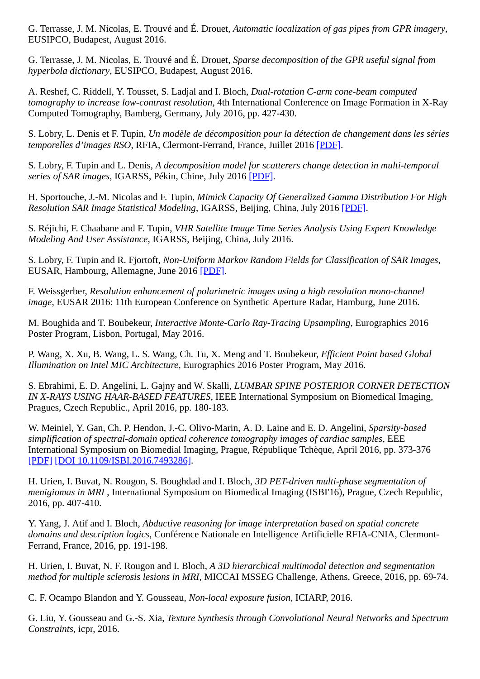G. Terrasse, J. M. Nicolas, E. Trouvé and É. Drouet, *Automatic localization of gas pipes from GPR imagery*, EUSIPCO, Budapest, August 2016.

G. Terrasse, J. M. Nicolas, E. Trouvé and É. Drouet, *Sparse decomposition of the GPR useful signal from hyperbola dictionary*, EUSIPCO, Budapest, August 2016.

A. Reshef, C. Riddell, Y. Tousset, S. Ladjal and I. Bloch, *Dual-rotation C-arm cone-beam computed tomography to increase low-contrast resolution*, 4th International Conference on Image Formation in X-Ray Computed Tomography, Bamberg, Germany, July 2016, pp. 427-430.

S. Lobry, L. Denis et F. Tupin, *Un modèle de décomposition pour la détection de changement dans les séries temporelles d'images RSO*, RFIA, Clermont-Ferrand, France, Juillet 2016 [\[PDF\].](http://biblio.telecom-paristech.fr/cgi-bin/download.cgi?id=16205)

S. Lobry, F. Tupin and L. Denis, *A decomposition model for scatterers change detection in multi-temporal series of SAR images*, IGARSS, Pékin, Chine, July 2016 [\[PDF\].](http://biblio.telecom-paristech.fr/cgi-bin/download.cgi?id=16229)

H. Sportouche, J.-M. Nicolas and F. Tupin, *Mimick Capacity Of Generalized Gamma Distribution For High Resolution SAR Image Statistical Modeling*, IGARSS, Beijing, China, July 2016 [\[PDF\].](http://biblio.telecom-paristech.fr/cgi-bin/download.cgi?id=16244)

S. Réjichi, F. Chaabane and F. Tupin, *VHR Satellite Image Time Series Analysis Using Expert Knowledge Modeling And User Assistance*, IGARSS, Beijing, China, July 2016.

S. Lobry, F. Tupin and R. Fjortoft, *Non-Uniform Markov Random Fields for Classification of SAR Images*, EUSAR, Hambourg, Allemagne, June 2016 [\[PDF\]](http://biblio.telecom-paristech.fr/cgi-bin/download.cgi?id=16175).

F. Weissgerber, *Resolution enhancement of polarimetric images using a high resolution mono-channel image*, EUSAR 2016: 11th European Conference on Synthetic Aperture Radar, Hamburg, June 2016.

M. Boughida and T. Boubekeur, *Interactive Monte-Carlo Ray-Tracing Upsampling*, Eurographics 2016 Poster Program, Lisbon, Portugal, May 2016.

P. Wang, X. Xu, B. Wang, L. S. Wang, Ch. Tu, X. Meng and T. Boubekeur, *Efficient Point based Global Illumination on Intel MIC Architecture*, Eurographics 2016 Poster Program, May 2016.

S. Ebrahimi, E. D. Angelini, L. Gajny and W. Skalli, *LUMBAR SPINE POSTERIOR CORNER DETECTION IN X-RAYS USING HAAR-BASED FEATURES*, IEEE International Symposium on Biomedical Imaging, Pragues, Czech Republic., April 2016, pp. 180-183.

W. Meiniel, Y. Gan, Ch. P. Hendon, J.-C. Olivo-Marin, A. D. Laine and E. D. Angelini, *Sparsity-based simplification of spectral-domain optical coherence tomography images of cardiac samples*, EEE International Symposium on Biomedial Imaging, Prague, République Tchèque, April 2016, pp. 373-376 [\[PDF\]](http://biblio.telecom-paristech.fr/cgi-bin/download.cgi?id=16306) [\[DOI 10.1109/ISBI.2016.7493286\].](http://dx.doi.org/10.1109/ISBI.2016.7493286)

H. Urien, I. Buvat, N. Rougon, S. Boughdad and I. Bloch, *3D PET-driven multi-phase segmentation of menigiomas in MRI* , International Symposium on Biomedical Imaging (ISBI'16), Prague, Czech Republic, 2016, pp. 407-410.

Y. Yang, J. Atif and I. Bloch, *Abductive reasoning for image interpretation based on spatial concrete domains and description logics*, Conférence Nationale en Intelligence Artificielle RFIA-CNIA, Clermont-Ferrand, France, 2016, pp. 191-198.

H. Urien, I. Buvat, N. F. Rougon and I. Bloch, *A 3D hierarchical multimodal detection and segmentation method for multiple sclerosis lesions in MRI*, MICCAI MSSEG Challenge, Athens, Greece, 2016, pp. 69-74.

C. F. Ocampo Blandon and Y. Gousseau, *Non-local exposure fusion*, ICIARP, 2016.

G. Liu, Y. Gousseau and G.-S. Xia, *Texture Synthesis through Convolutional Neural Networks and Spectrum Constraints*, icpr, 2016.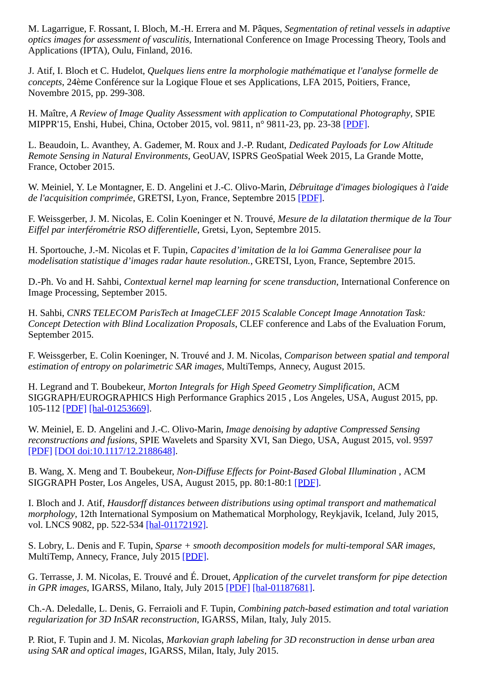M. Lagarrigue, F. Rossant, I. Bloch, M.-H. Errera and M. Pâques, *Segmentation of retinal vessels in adaptive optics images for assessment of vasculitis*, International Conference on Image Processing Theory, Tools and Applications (IPTA), Oulu, Finland, 2016.

J. Atif, I. Bloch et C. Hudelot, *Quelques liens entre la morphologie mathématique et l'analyse formelle de concepts*, 24ème Conférence sur la Logique Floue et ses Applications, LFA 2015, Poitiers, France, Novembre 2015, pp. 299-308.

H. Maître, *A Review of Image Quality Assessment with application to Computational Photography*, SPIE MIPPR'15, Enshi, Hubei, China, October 2015, vol. 9811, n° 9811-23, pp. 23-38 [\[PDF\].](http://biblio.telecom-paristech.fr/cgi-bin/download.cgi?id=15761)

L. Beaudoin, L. Avanthey, A. Gademer, M. Roux and J.-P. Rudant, *Dedicated Payloads for Low Altitude Remote Sensing in Natural Environments*, GeoUAV, ISPRS GeoSpatial Week 2015, La Grande Motte, France, October 2015.

W. Meiniel, Y. Le Montagner, E. D. Angelini et J.-C. Olivo-Marin, *Débruitage d'images biologiques à l'aide de l'acquisition comprimée*, GRETSI, Lyon, France, Septembre 2015 [\[PDF\].](http://biblio.telecom-paristech.fr/cgi-bin/download.cgi?id=15928)

F. Weissgerber, J. M. Nicolas, E. Colin Koeninger et N. Trouvé, *Mesure de la dilatation thermique de la Tour Eiffel par interférométrie RSO differentielle*, Gretsi, Lyon, Septembre 2015.

H. Sportouche, J.-M. Nicolas et F. Tupin, *Capacites d'imitation de la loi Gamma Generalisee pour la modelisation statistique d'images radar haute resolution.*, GRETSI, Lyon, France, Septembre 2015.

D.-Ph. Vo and H. Sahbi, *Contextual kernel map learning for scene transduction*, International Conference on Image Processing, September 2015.

H. Sahbi, *CNRS TELECOM ParisTech at ImageCLEF 2015 Scalable Concept Image Annotation Task: Concept Detection with Blind Localization Proposals*, CLEF conference and Labs of the Evaluation Forum, September 2015.

F. Weissgerber, E. Colin Koeninger, N. Trouvé and J. M. Nicolas, *Comparison between spatial and temporal estimation of entropy on polarimetric SAR images*, MultiTemps, Annecy, August 2015.

H. Legrand and T. Boubekeur, *Morton Integrals for High Speed Geometry Simplification*, ACM SIGGRAPH/EUROGRAPHICS High Performance Graphics 2015 , Los Angeles, USA, August 2015, pp. 105-112 [\[PDF\]](http://www.telecom-paristech.fr/~boubek/papers/HSGS/) [\[hal-01253669\]](http://hal-institut-telecom.archives-ouvertes.fr/hal-01253669).

W. Meiniel, E. D. Angelini and J.-C. Olivo-Marin, *Image denoising by adaptive Compressed Sensing reconstructions and fusions*, SPIE Wavelets and Sparsity XVI, San Diego, USA, August 2015, vol. 9597 [\[PDF\]](http://biblio.telecom-paristech.fr/cgi-bin/download.cgi?id=15927) [\[DOI doi:10.1117/12.2188648\]](http://dx.doi.org/doi:10.1117/12.2188648).

B. Wang, X. Meng and T. Boubekeur, *Non-Diffuse Effects for Point-Based Global Illumination* , ACM SIGGRAPH Poster, Los Angeles, USA, August 2015, pp. 80:1-80:1 [\[PDF\]](http://perso.telecom-paristech.fr/~boubek/papers/WPBGI/).

I. Bloch and J. Atif, *Hausdorff distances between distributions using optimal transport and mathematical morphology*, 12th International Symposium on Mathematical Morphology, Reykjavik, Iceland, July 2015, vol. LNCS 9082, pp. 522-534 [\[hal-01172192\].](http://hal-institut-telecom.archives-ouvertes.fr/hal-01172192)

S. Lobry, L. Denis and F. Tupin, *Sparse + smooth decomposition models for multi-temporal SAR images*, MultiTemp, Annecy, France, July 2015 [\[PDF\]](http://biblio.telecom-paristech.fr/cgi-bin/download.cgi?id=15642).

G. Terrasse, J. M. Nicolas, E. Trouvé and É. Drouet, *Application of the curvelet transform for pipe detection in GPR images*, IGARSS, Milano, Italy, July 2015 [\[PDF\]](http://biblio.telecom-paristech.fr/cgi-bin/download.cgi?id=15680) [\[hal-01187681\].](http://hal-institut-telecom.archives-ouvertes.fr/hal-01187681)

Ch.-A. Deledalle, L. Denis, G. Ferraioli and F. Tupin, *Combining patch-based estimation and total variation regularization for 3D InSAR reconstruction*, IGARSS, Milan, Italy, July 2015.

P. Riot, F. Tupin and J. M. Nicolas, *Markovian graph labeling for 3D reconstruction in dense urban area using SAR and optical images*, IGARSS, Milan, Italy, July 2015.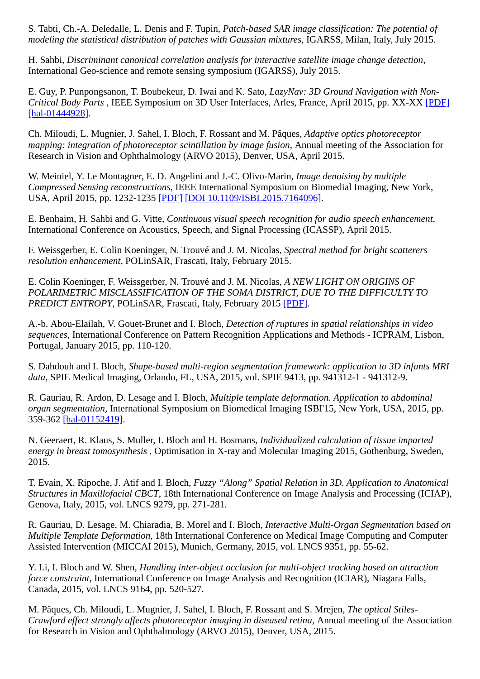S. Tabti, Ch.-A. Deledalle, L. Denis and F. Tupin, *Patch-based SAR image classification: The potential of modeling the statistical distribution of patches with Gaussian mixtures*, IGARSS, Milan, Italy, July 2015.

H. Sahbi, *Discriminant canonical correlation analysis for interactive satellite image change detection*, International Geo-science and remote sensing symposium (IGARSS), July 2015.

E. Guy, P. Punpongsanon, T. Boubekeur, D. Iwai and K. Sato, *LazyNav: 3D Ground Navigation with Non-Critical Body Parts* , IEEE Symposium on 3D User Interfaces, Arles, France, April 2015, pp. XX-XX [\[PDF\]](http://www.telecom-paristech.fr/~boubek/papers/LazyNav/) [\[hal-01444928\].](http://hal-institut-telecom.archives-ouvertes.fr/hal-01444928)

Ch. Miloudi, L. Mugnier, J. Sahel, I. Bloch, F. Rossant and M. Pâques, *Adaptive optics photoreceptor mapping: integration of photoreceptor scintillation by image fusion*, Annual meeting of the Association for Research in Vision and Ophthalmology (ARVO 2015), Denver, USA, April 2015.

W. Meiniel, Y. Le Montagner, E. D. Angelini and J.-C. Olivo-Marin, *Image denoising by multiple Compressed Sensing reconstructions*, IEEE International Symposium on Biomedial Imaging, New York, USA, April 2015, pp. 1232-1235 [\[PDF\]](http://biblio.telecom-paristech.fr/cgi-bin/download.cgi?id=15925) [\[DOI 10.1109/ISBI.2015.7164096\]](http://dx.doi.org/10.1109/ISBI.2015.7164096).

E. Benhaim, H. Sahbi and G. Vitte, *Continuous visual speech recognition for audio speech enhancement*, International Conference on Acoustics, Speech, and Signal Processing (ICASSP), April 2015.

F. Weissgerber, E. Colin Koeninger, N. Trouvé and J. M. Nicolas, *Spectral method for bright scatterers resolution enhancement*, POLinSAR, Frascati, Italy, February 2015.

E. Colin Koeninger, F. Weissgerber, N. Trouvé and J. M. Nicolas, *A NEW LIGHT ON ORIGINS OF POLARIMETRIC MISCLASSIFICATION OF THE SOMA DISTRICT, DUE TO THE DIFFICULTY TO PREDICT ENTROPY*, POLinSAR, Frascati, Italy, February 2015 [\[PDF\].](http://biblio.telecom-paristech.fr/cgi-bin/download.cgi?id=15376)

A.-b. Abou-Elailah, V. Gouet-Brunet and I. Bloch, *Detection of ruptures in spatial relationships in video sequences*, International Conference on Pattern Recognition Applications and Methods - ICPRAM, Lisbon, Portugal, January 2015, pp. 110-120.

S. Dahdouh and I. Bloch, *Shape-based multi-region segmentation framework: application to 3D infants MRI data*, SPIE Medical Imaging, Orlando, FL, USA, 2015, vol. SPIE 9413, pp. 941312-1 - 941312-9.

R. Gauriau, R. Ardon, D. Lesage and I. Bloch, *Multiple template deformation. Application to abdominal organ segmentation*, International Symposium on Biomedical Imaging ISBI'15, New York, USA, 2015, pp. 359-362 [\[hal-01152419\]](http://hal-institut-telecom.archives-ouvertes.fr/hal-01152419).

N. Geeraert, R. Klaus, S. Muller, I. Bloch and H. Bosmans, *Individualized calculation of tissue imparted energy in breast tomosynthesis* , Optimisation in X-ray and Molecular Imaging 2015, Gothenburg, Sweden, 2015.

T. Evain, X. Ripoche, J. Atif and I. Bloch, *Fuzzy "Along" Spatial Relation in 3D. Application to Anatomical Structures in Maxillofacial CBCT*, 18th International Conference on Image Analysis and Processing (ICIAP), Genova, Italy, 2015, vol. LNCS 9279, pp. 271-281.

R. Gauriau, D. Lesage, M. Chiaradia, B. Morel and I. Bloch, *Interactive Multi-Organ Segmentation based on Multiple Template Deformation*, 18th International Conference on Medical Image Computing and Computer Assisted Intervention (MICCAI 2015), Munich, Germany, 2015, vol. LNCS 9351, pp. 55-62.

Y. Li, I. Bloch and W. Shen, *Handling inter-object occlusion for multi-object tracking based on attraction force constraint*, International Conference on Image Analysis and Recognition (ICIAR), Niagara Falls, Canada, 2015, vol. LNCS 9164, pp. 520-527.

M. Pâques, Ch. Miloudi, L. Mugnier, J. Sahel, I. Bloch, F. Rossant and S. Mrejen, *The optical Stiles-Crawford effect strongly affects photoreceptor imaging in diseased retina*, Annual meeting of the Association for Research in Vision and Ophthalmology (ARVO 2015), Denver, USA, 2015.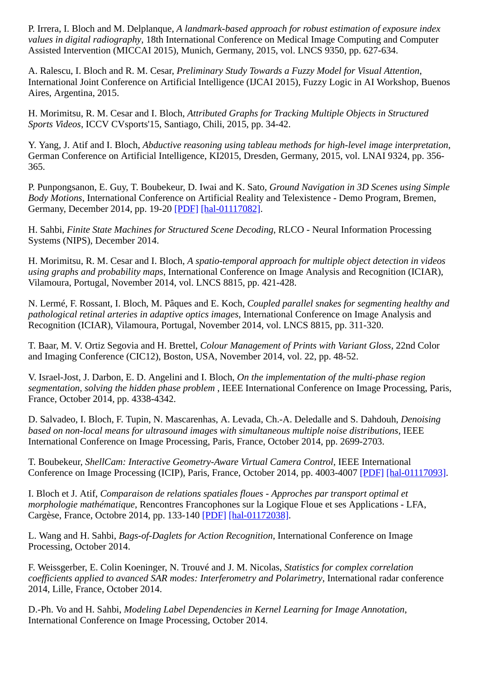P. Irrera, I. Bloch and M. Delplanque, *A landmark-based approach for robust estimation of exposure index values in digital radiography*, 18th International Conference on Medical Image Computing and Computer Assisted Intervention (MICCAI 2015), Munich, Germany, 2015, vol. LNCS 9350, pp. 627-634.

A. Ralescu, I. Bloch and R. M. Cesar, *Preliminary Study Towards a Fuzzy Model for Visual Attention*, International Joint Conference on Artificial Intelligence (IJCAI 2015), Fuzzy Logic in AI Workshop, Buenos Aires, Argentina, 2015.

H. Morimitsu, R. M. Cesar and I. Bloch, *Attributed Graphs for Tracking Multiple Objects in Structured Sports Videos*, ICCV CVsports'15, Santiago, Chili, 2015, pp. 34-42.

Y. Yang, J. Atif and I. Bloch, *Abductive reasoning using tableau methods for high-level image interpretation*, German Conference on Artificial Intelligence, KI2015, Dresden, Germany, 2015, vol. LNAI 9324, pp. 356- 365.

P. Punpongsanon, E. Guy, T. Boubekeur, D. Iwai and K. Sato, *Ground Navigation in 3D Scenes using Simple Body Motions*, International Conference on Artificial Reality and Telexistence - Demo Program, Bremen, Germany, December 2014, pp. 19-20 [\[PDF\]](http://http//www.telecom-paristech.fr/~boubek/papers/GroundNav/) [\[hal-01117082\]](http://hal-institut-telecom.archives-ouvertes.fr/hal-01117082).

H. Sahbi, *Finite State Machines for Structured Scene Decoding*, RLCO - Neural Information Processing Systems (NIPS), December 2014.

H. Morimitsu, R. M. Cesar and I. Bloch, *A spatio-temporal approach for multiple object detection in videos using graphs and probability maps*, International Conference on Image Analysis and Recognition (ICIAR), Vilamoura, Portugal, November 2014, vol. LNCS 8815, pp. 421-428.

N. Lermé, F. Rossant, I. Bloch, M. Pâques and E. Koch, *Coupled parallel snakes for segmenting healthy and pathological retinal arteries in adaptive optics images*, International Conference on Image Analysis and Recognition (ICIAR), Vilamoura, Portugal, November 2014, vol. LNCS 8815, pp. 311-320.

T. Baar, M. V. Ortiz Segovia and H. Brettel, *Colour Management of Prints with Variant Gloss*, 22nd Color and Imaging Conference (CIC12), Boston, USA, November 2014, vol. 22, pp. 48-52.

V. Israel-Jost, J. Darbon, E. D. Angelini and I. Bloch, *On the implementation of the multi-phase region segmentation, solving the hidden phase problem* , IEEE International Conference on Image Processing, Paris, France, October 2014, pp. 4338-4342.

D. Salvadeo, I. Bloch, F. Tupin, N. Mascarenhas, A. Levada, Ch.-A. Deledalle and S. Dahdouh, *Denoising based on non-local means for ultrasound images with simultaneous multiple noise distributions*, IEEE International Conference on Image Processing, Paris, France, October 2014, pp. 2699-2703.

T. Boubekeur, *ShellCam: Interactive Geometry-Aware Virtual Camera Control*, IEEE International Conference on Image Processing (ICIP), Paris, France, October 2014, pp. 4003-4007 [\[PDF\]](http://www.telecom-paristech.fr/~boubek/papers/ShellCam/) [\[hal-01117093\]](http://hal-institut-telecom.archives-ouvertes.fr/hal-01117093).

I. Bloch et J. Atif, *Comparaison de relations spatiales floues - Approches par transport optimal et morphologie mathématique*, Rencontres Francophones sur la Logique Floue et ses Applications - LFA, Cargèse, France, Octobre 2014, pp. 133-140 [\[PDF\]](http://biblio.telecom-paristech.fr/cgi-bin/download.cgi?id=14766) [\[hal-01172038\]](http://hal-institut-telecom.archives-ouvertes.fr/hal-01172038).

L. Wang and H. Sahbi, *Bags-of-Daglets for Action Recognition*, International Conference on Image Processing, October 2014.

F. Weissgerber, E. Colin Koeninger, N. Trouvé and J. M. Nicolas, *Statistics for complex correlation coefficients applied to avanced SAR modes: Interferometry and Polarimetry*, International radar conference 2014, Lille, France, October 2014.

D.-Ph. Vo and H. Sahbi, *Modeling Label Dependencies in Kernel Learning for Image Annotation*, International Conference on Image Processing, October 2014.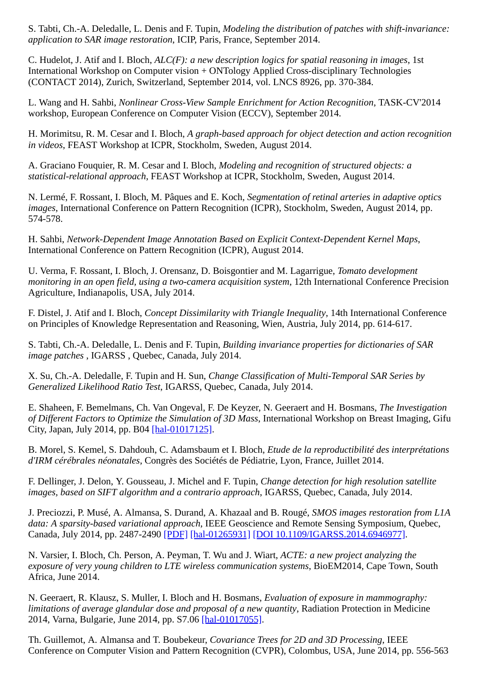S. Tabti, Ch.-A. Deledalle, L. Denis and F. Tupin, *Modeling the distribution of patches with shift-invariance: application to SAR image restoration*, ICIP, Paris, France, September 2014.

C. Hudelot, J. Atif and I. Bloch, *ALC(F): a new description logics for spatial reasoning in images*, 1st International Workshop on Computer vision + ONTology Applied Cross-disciplinary Technologies (CONTACT 2014), Zurich, Switzerland, September 2014, vol. LNCS 8926, pp. 370-384.

L. Wang and H. Sahbi, *Nonlinear Cross-View Sample Enrichment for Action Recognition*, TASK-CV'2014 workshop, European Conference on Computer Vision (ECCV), September 2014.

H. Morimitsu, R. M. Cesar and I. Bloch, *A graph-based approach for object detection and action recognition in videos*, FEAST Workshop at ICPR, Stockholm, Sweden, August 2014.

A. Graciano Fouquier, R. M. Cesar and I. Bloch, *Modeling and recognition of structured objects: a statistical-relational approach*, FEAST Workshop at ICPR, Stockholm, Sweden, August 2014.

N. Lermé, F. Rossant, I. Bloch, M. Pâques and E. Koch, *Segmentation of retinal arteries in adaptive optics images*, International Conference on Pattern Recognition (ICPR), Stockholm, Sweden, August 2014, pp. 574-578.

H. Sahbi, *Network-Dependent Image Annotation Based on Explicit Context-Dependent Kernel Maps*, International Conference on Pattern Recognition (ICPR), August 2014.

U. Verma, F. Rossant, I. Bloch, J. Orensanz, D. Boisgontier and M. Lagarrigue, *Tomato development monitoring in an open field, using a two-camera acquisition system*, 12th International Conference Precision Agriculture, Indianapolis, USA, July 2014.

F. Distel, J. Atif and I. Bloch, *Concept Dissimilarity with Triangle Inequality*, 14th International Conference on Principles of Knowledge Representation and Reasoning, Wien, Austria, July 2014, pp. 614-617.

S. Tabti, Ch.-A. Deledalle, L. Denis and F. Tupin, *Building invariance properties for dictionaries of SAR image patches* , IGARSS , Quebec, Canada, July 2014.

X. Su, Ch.-A. Deledalle, F. Tupin and H. Sun, *Change Classification of Multi-Temporal SAR Series by Generalized Likelihood Ratio Test*, IGARSS, Quebec, Canada, July 2014.

E. Shaheen, F. Bemelmans, Ch. Van Ongeval, F. De Keyzer, N. Geeraert and H. Bosmans, *The Investigation of Different Factors to Optimize the Simulation of 3D Mass*, International Workshop on Breast Imaging, Gifu City, Japan, July 2014, pp. B04 [\[hal-01017125\].](http://hal-institut-telecom.archives-ouvertes.fr/hal-01017125)

B. Morel, S. Kemel, S. Dahdouh, C. Adamsbaum et I. Bloch, *Etude de la reproductibilité des interprétations d'IRM cérébrales néonatales*, Congrès des Sociétés de Pédiatrie, Lyon, France, Juillet 2014.

F. Dellinger, J. Delon, Y. Gousseau, J. Michel and F. Tupin, *Change detection for high resolution satellite images, based on SIFT algorithm and a contrario approach*, IGARSS, Quebec, Canada, July 2014.

J. Preciozzi, P. Musé, A. Almansa, S. Durand, A. Khazaal and B. Rougé, *SMOS images restoration from L1A data: A sparsity-based variational approach*, IEEE Geoscience and Remote Sensing Symposium, Quebec, Canada, July 2014, pp. 2487-2490 [\[PDF\]](http://biblio.telecom-paristech.fr/cgi-bin/download.cgi?id=16025) [\[hal-01265931\]](http://hal-institut-telecom.archives-ouvertes.fr/hal-01265931) [\[DOI 10.1109/IGARSS.2014.6946977\]](http://dx.doi.org/10.1109/IGARSS.2014.6946977).

N. Varsier, I. Bloch, Ch. Person, A. Peyman, T. Wu and J. Wiart, *ACTE: a new project analyzing the exposure of very young children to LTE wireless communication systems*, BioEM2014, Cape Town, South Africa, June 2014.

N. Geeraert, R. Klausz, S. Muller, I. Bloch and H. Bosmans, *Evaluation of exposure in mammography: limitations of average glandular dose and proposal of a new quantity*, Radiation Protection in Medicine 2014, Varna, Bulgarie, June 2014, pp. S7.06 [\[hal-01017055\].](http://hal-institut-telecom.archives-ouvertes.fr/hal-01017055)

Th. Guillemot, A. Almansa and T. Boubekeur, *Covariance Trees for 2D and 3D Processing*, IEEE Conference on Computer Vision and Pattern Recognition (CVPR), Colombus, USA, June 2014, pp. 556-563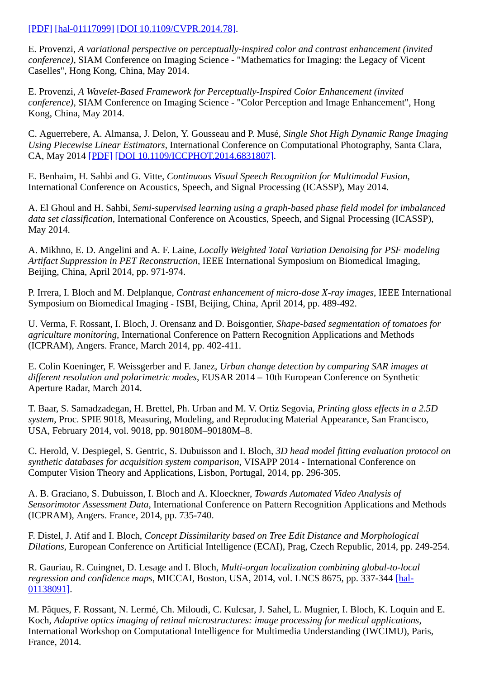## [\[PDF\]](http://biblio.telecom-paristech.fr/cgi-bin/download.cgi?id=14590) [\[hal-01117099\]](http://hal-institut-telecom.archives-ouvertes.fr/hal-01117099) [\[DOI 10.1109/CVPR.2014.78\]](http://dx.doi.org/10.1109/CVPR.2014.78).

E. Provenzi, *A variational perspective on perceptually-inspired color and contrast enhancement (invited conference)*, SIAM Conference on Imaging Science - "Mathematics for Imaging: the Legacy of Vicent Caselles", Hong Kong, China, May 2014.

E. Provenzi, *A Wavelet-Based Framework for Perceptually-Inspired Color Enhancement (invited conference)*, SIAM Conference on Imaging Science - "Color Perception and Image Enhancement", Hong Kong, China, May 2014.

C. Aguerrebere, A. Almansa, J. Delon, Y. Gousseau and P. Musé, *Single Shot High Dynamic Range Imaging Using Piecewise Linear Estimators*, International Conference on Computational Photography, Santa Clara, CA, May 2014 [\[PDF\]](http://perso.telecom-paristech.fr/~gousseau/single_shot_hdr/) [\[DOI 10.1109/ICCPHOT.2014.6831807\].](http://dx.doi.org/10.1109/ICCPHOT.2014.6831807)

E. Benhaim, H. Sahbi and G. Vitte, *Continuous Visual Speech Recognition for Multimodal Fusion*, International Conference on Acoustics, Speech, and Signal Processing (ICASSP), May 2014.

A. El Ghoul and H. Sahbi, *Semi-supervised learning using a graph-based phase field model for imbalanced data set classification*, International Conference on Acoustics, Speech, and Signal Processing (ICASSP), May 2014.

A. Mikhno, E. D. Angelini and A. F. Laine, *Locally Weighted Total Variation Denoising for PSF modeling Artifact Suppression in PET Reconstruction*, IEEE International Symposium on Biomedical Imaging, Beijing, China, April 2014, pp. 971-974.

P. Irrera, I. Bloch and M. Delplanque, *Contrast enhancement of micro-dose X-ray images*, IEEE International Symposium on Biomedical Imaging - ISBI, Beijing, China, April 2014, pp. 489-492.

U. Verma, F. Rossant, I. Bloch, J. Orensanz and D. Boisgontier, *Shape-based segmentation of tomatoes for agriculture monitoring*, International Conference on Pattern Recognition Applications and Methods (ICPRAM), Angers. France, March 2014, pp. 402-411.

E. Colin Koeninger, F. Weissgerber and F. Janez, *Urban change detection by comparing SAR images at different resolution and polarimetric modes*, EUSAR 2014 – 10th European Conference on Synthetic Aperture Radar, March 2014.

T. Baar, S. Samadzadegan, H. Brettel, Ph. Urban and M. V. Ortiz Segovia, *Printing gloss effects in a 2.5D system*, Proc. SPIE 9018, Measuring, Modeling, and Reproducing Material Appearance, San Francisco, USA, February 2014, vol. 9018, pp. 90180M–90180M–8.

C. Herold, V. Despiegel, S. Gentric, S. Dubuisson and I. Bloch, *3D head model fitting evaluation protocol on synthetic databases for acquisition system comparison*, VISAPP 2014 - International Conference on Computer Vision Theory and Applications, Lisbon, Portugal, 2014, pp. 296-305.

A. B. Graciano, S. Dubuisson, I. Bloch and A. Kloeckner, *Towards Automated Video Analysis of Sensorimotor Assessment Data*, International Conference on Pattern Recognition Applications and Methods (ICPRAM), Angers. France, 2014, pp. 735-740.

F. Distel, J. Atif and I. Bloch, *Concept Dissimilarity based on Tree Edit Distance and Morphological Dilations*, European Conference on Artificial Intelligence (ECAI), Prag, Czech Republic, 2014, pp. 249-254.

R. Gauriau, R. Cuingnet, D. Lesage and I. Bloch, *Multi-organ localization combining global-to-local regression and confidence maps*[, MICCAI, Boston, USA, 2014, vol. LNCS 8675, pp. 337-344 \[hal-](http://hal-institut-telecom.archives-ouvertes.fr/hal-01138091)01138091].

M. Pâques, F. Rossant, N. Lermé, Ch. Miloudi, C. Kulcsar, J. Sahel, L. Mugnier, I. Bloch, K. Loquin and E. Koch, *Adaptive optics imaging of retinal microstructures: image processing for medical applications*, International Workshop on Computational Intelligence for Multimedia Understanding (IWCIMU), Paris, France, 2014.